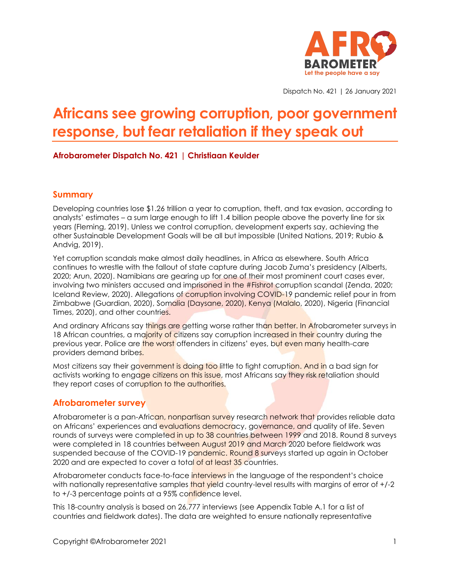

Dispatch No. 421 | 26 January 2021

# **Africans see growing corruption, poor government response, but fear retaliation if they speak out**

### **Afrobarometer Dispatch No. 421 | Christiaan Keulder**

### **Summary**

Developing countries lose \$1.26 trillion a year to corruption, theft, and tax evasion, according to analysts' estimates – a sum large enough to lift 1.4 billion people above the poverty line for six years (Fleming, 2019). Unless we control corruption, development experts say, achieving the other Sustainable Development Goals will be all but impossible (United Nations, 2019; Rubio & Andvig, 2019).

Yet corruption scandals make almost daily headlines, in Africa as elsewhere. South Africa continues to wrestle with the fallout of state capture during Jacob Zuma's presidency (Alberts, 2020; Arun, 2020). Namibians are gearing up for one of their most prominent court cases ever, involving two ministers accused and imprisoned in the #Fishrot corruption scandal (Zenda, 2020; Iceland Review, 2020). Allegations of corruption involving COVID-19 pandemic relief pour in from Zimbabwe (Guardian, 2020), Somalia (Daysane, 2020), Kenya (Malalo, 2020), Nigeria (Financial Times, 2020), and other countries.

And ordinary Africans say things are getting worse rather than better. In Afrobarometer surveys in 18 African countries, a majority of citizens say corruption increased in their country during the previous year. Police are the worst offenders in citizens' eyes, but even many health-care providers demand bribes.

Most citizens say their government is doing too little to fight corruption. And in a bad sign for activists working to engage citizens on this issue, most Africans say they risk retaliation should they report cases of corruption to the authorities.

### **Afrobarometer survey**

Afrobarometer is a pan-African, nonpartisan survey research network that provides reliable data on Africans' experiences and evaluations democracy, governance, and quality of life. Seven rounds of surveys were completed in up to 38 countries between 1999 and 2018. Round 8 surveys were completed in 18 countries between August 2019 and March 2020 before fieldwork was suspended because of the COVID-19 pandemic. Round 8 surveys started up again in October 2020 and are expected to cover a total of at least 35 countries.

Afrobarometer conducts face-to-face interviews in the language of the respondent's choice with nationally representative samples that yield country-level results with margins of error of  $+/-2$ to +/-3 percentage points at a 95% confidence level.

This 18-country analysis is based on 26,777 interviews (see Appendix Table A.1 for a list of countries and fieldwork dates). The data are weighted to ensure nationally representative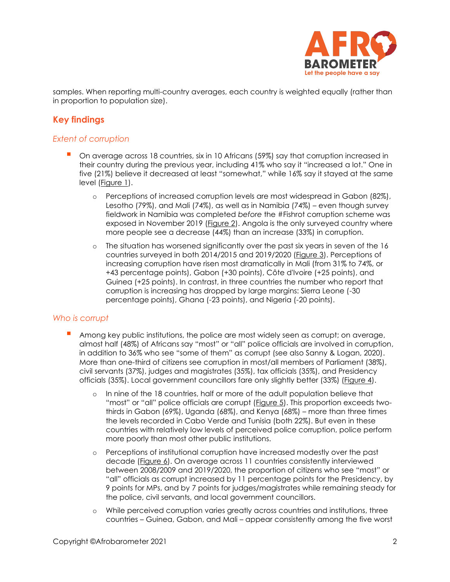

samples. When reporting multi-country averages, each country is weighted equally (rather than in proportion to population size).

## **Key findings**

### *Extent of corruption*

- On average across 18 countries, six in 10 Africans (59%) say that corruption increased in their country during the previous year, including 41% who say it "increased a lot." One in five (21%) believe it decreased at least "somewhat," while 16% say it stayed at the same level [\(Figure 1\)](#page-3-0).
	- o Perceptions of increased corruption levels are most widespread in Gabon (82%), Lesotho (79%), and Mali (74%), as well as in Namibia (74%) – even though survey fieldwork in Namibia was completed *before* the #Fishrot corruption scheme was exposed in November 2019 [\(Figure 2\)](#page-4-0). Angola is the only surveyed country where more people see a decrease (44%) than an increase (33%) in corruption.
	- o The situation has worsened significantly over the past six years in seven of the 16 countries surveyed in both 2014/2015 and 2019/2020 [\(Figure 3\)](#page-5-0). Perceptions of increasing corruption have risen most dramatically in Mali (from 31% to 74%, or +43 percentage points), Gabon (+30 points), Côte d'Ivoire (+25 points), and Guinea (+25 points). In contrast, in three countries the number who report that corruption is increasing has dropped by large margins: Sierra Leone (-30 percentage points), Ghana (-23 points), and Nigeria (-20 points).

### *Who is corrupt*

- **Among key public institutions, the police are most widely seen as corrupt; on average,** almost half (48%) of Africans say "most" or "all" police officials are involved in corruption, in addition to 36% who see "some of them" as corrupt (see also Sanny & Logan, 2020). More than one-third of citizens see corruption in most/all members of Parliament (38%), civil servants (37%), judges and magistrates (35%), tax officials (35%), and Presidency officials (35%). Local government councillors fare only slightly better (33%) [\(Figure 4\)](#page-5-1).
	- o In nine of the 18 countries, half or more of the adult population believe that "most" or "all" police officials are corrupt (*Figure 5*). This proportion exceeds twothirds in Gabon (69%), Uganda (68%), and Kenya (68%) – more than three times the levels recorded in Cabo Verde and Tunisia (both 22%). But even in these countries with relatively low levels of perceived police corruption, police perform more poorly than most other public institutions.
	- o Perceptions of institutional corruption have increased modestly over the past decade [\(Figure 6\)](#page-6-1). On average across 11 countries consistently interviewed between 2008/2009 and 2019/2020, the proportion of citizens who see "most" or "all" officials as corrupt increased by 11 percentage points for the Presidency, by 9 points for MPs, and by 7 points for judges/magistrates while remaining steady for the police, civil servants, and local government councillors.
	- o While perceived corruption varies greatly across countries and institutions, three countries – Guinea, Gabon, and Mali – appear consistently among the five worst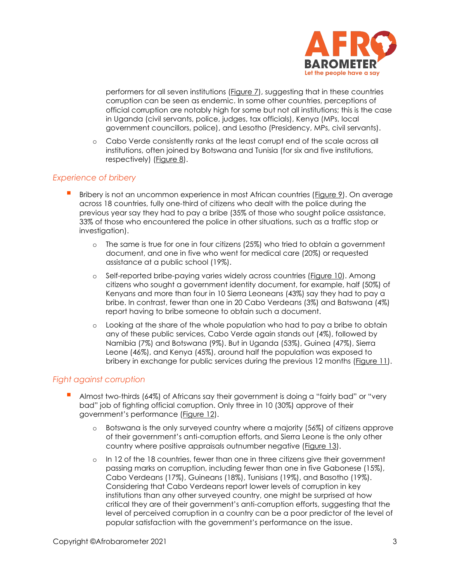

performers for all seven institutions [\(Figure 7\)](#page-7-0), suggesting that in these countries corruption can be seen as endemic. In some other countries, perceptions of official corruption are notably high for some but not all institutions; this is the case in Uganda (civil servants, police, judges, tax officials), Kenya (MPs, local government councillors, police), and Lesotho (Presidency, MPs, civil servants).

o Cabo Verde consistently ranks at the least corrupt end of the scale across all institutions, often joined by Botswana and Tunisia (for six and five institutions, respectively) [\(Figure 8\)](#page-7-1).

### *Experience of bribery*

- Bribery is not an uncommon experience in most African countries [\(Figure 9\)](#page-8-0). On average across 18 countries, fully one-third of citizens who dealt with the police during the previous year say they had to pay a bribe (35% of those who sought police assistance, 33% of those who encountered the police in other situations, such as a traffic stop or investigation).
	- o The same is true for one in four citizens (25%) who tried to obtain a government document, and one in five who went for medical care (20%) or requested assistance at a public school (19%).
	- o Self-reported bribe-paying varies widely across countries [\(Figure 10\)](#page-9-0). Among citizens who sought a government identity document, for example, half (50%) of Kenyans and more than four in 10 Sierra Leoneans (43%) say they had to pay a bribe. In contrast, fewer than one in 20 Cabo Verdeans (3%) and Batswana (4%) report having to bribe someone to obtain such a document.
	- o Looking at the share of the whole population who had to pay a bribe to obtain any of these public services, Cabo Verde again stands out (4%), followed by Namibia (7%) and Botswana (9%). But in Uganda (53%), Guinea (47%), Sierra Leone (46%), and Kenya (45%), around half the population was exposed to bribery in exchange for public services during the previous 12 months [\(Figure 11\)](#page-10-0).

### *Fight against corruption*

- Almost two-thirds (64%) of Africans say their government is doing a "fairly bad" or "very bad" job of fighting official corruption. Only three in 10 (30%) approve of their government's performance ([Figure 12\)](#page-11-0).
	- o Botswana is the only surveyed country where a majority (56%) of citizens approve of their government's anti-corruption efforts, and Sierra Leone is the only other country where positive appraisals outnumber negative [\(Figure 13\)](#page-11-1).
	- $\circ$  In 12 of the 18 countries, fewer than one in three citizens give their government passing marks on corruption, including fewer than one in five Gabonese (15%), Cabo Verdeans (17%), Guineans (18%), Tunisians (19%), and Basotho (19%). Considering that Cabo Verdeans report lower levels of corruption in key institutions than any other surveyed country, one might be surprised at how critical they are of their government's anti-corruption efforts, suggesting that the level of perceived corruption in a country can be a poor predictor of the level of popular satisfaction with the government's performance on the issue.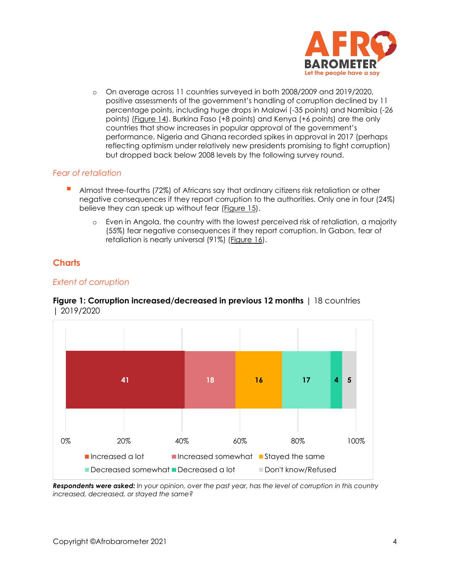

o On average across 11 countries surveyed in both 2008/2009 and 2019/2020, positive assessments of the government's handling of corruption declined by 11 percentage points, including huge drops in Malawi (-35 points) and Namibia (-26 points) [\(Figure 14\)](#page-12-0). Burkina Faso (+8 points) and Kenya (+6 points) are the only countries that show increases in popular approval of the government's performance. Nigeria and Ghana recorded spikes in approval in 2017 (perhaps reflecting optimism under relatively new presidents promising to fight corruption) but dropped back below 2008 levels by the following survey round.

### *Fear of retaliation*

- Almost three-fourths (72%) of Africans say that ordinary citizens risk retaliation or other negative consequences if they report corruption to the authorities. Only one in four (24%) believe they can speak up without fear [\(Figure 15\)](#page-12-1).
	- o Even in Angola, the country with the lowest perceived risk of retaliation, a majority (55%) fear negative consequences if they report corruption. In Gabon, fear of retaliation is nearly universal (91%) [\(Figure 16\)](#page-13-0).

### **Charts**

### *Extent of corruption*



### <span id="page-3-0"></span>**Figure 1: Corruption increased/decreased in previous 12 months** | 18 countries | 2019/2020

*Respondents were asked: In your opinion, over the past year, has the level of corruption in this country increased, decreased, or stayed the same?*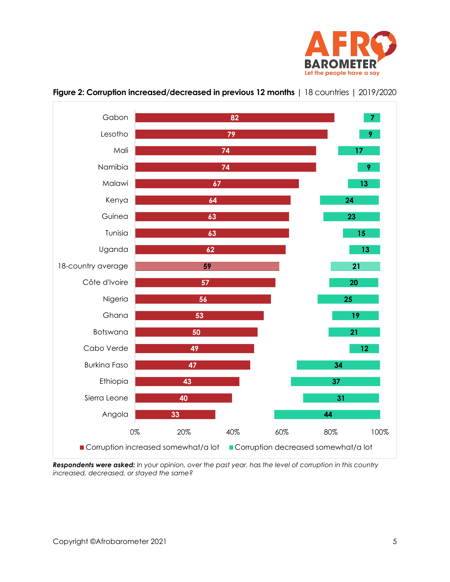



### <span id="page-4-0"></span>**Figure 2: Corruption increased/decreased in previous 12 months** | 18 countries | 2019/2020

*Respondents were asked: In your opinion, over the past year, has the level of corruption in this country increased, decreased, or stayed the same?*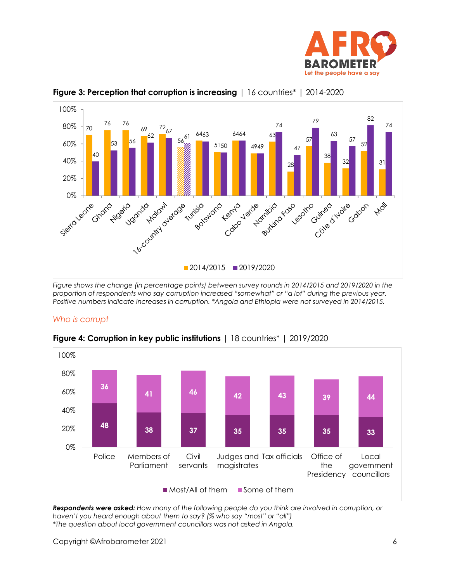



<span id="page-5-0"></span>

*Figure shows the change (in percentage points) between survey rounds in 2014/2015 and 2019/2020 in the proportion of respondents who say corruption increased "somewhat" or "a lot" during the previous year. Positive numbers indicate increases in corruption. \*Angola and Ethiopia were not surveyed in 2014/2015.*

### *Who is corrupt*



<span id="page-5-1"></span>**Figure 4: Corruption in key public institutions** | 18 countries\* | 2019/2020

*Respondents were asked: How many of the following people do you think are involved in corruption, or haven't you heard enough about them to say? (% who say "most" or "all") \*The question about local government councillors was not asked in Angola.*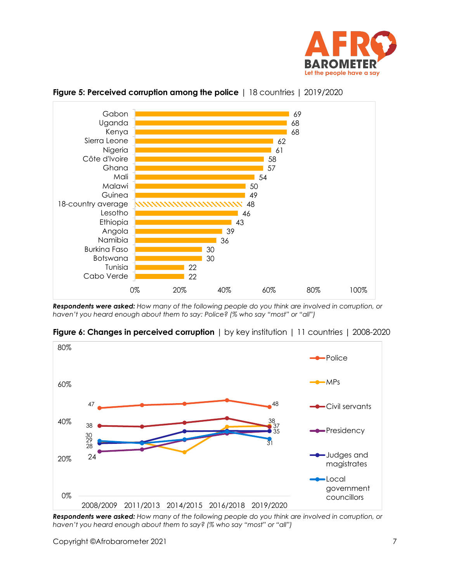



<span id="page-6-0"></span>

*Respondents were asked: How many of the following people do you think are involved in corruption, or haven't you heard enough about them to say: Police? (% who say "most" or "all")*



<span id="page-6-1"></span>**Figure 6: Changes in perceived corruption**  $\vert$  by key institution  $\vert$  11 countries  $\vert$  2008-2020

*Respondents were asked: How many of the following people do you think are involved in corruption, or haven't you heard enough about them to say? (% who say "most" or "all")*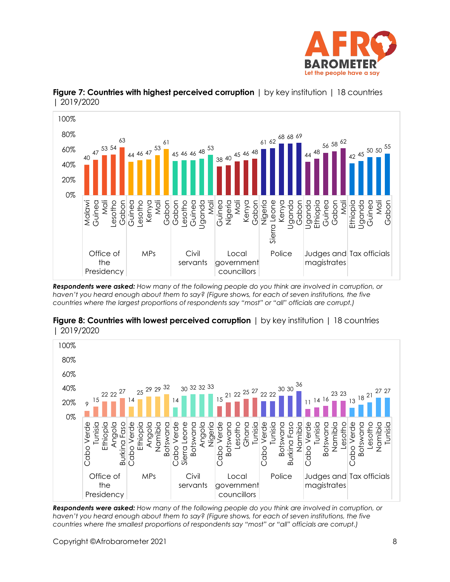



## <span id="page-7-0"></span>**Figure 7: Countries with highest perceived corruption** | by key institution | 18 countries | 2019/2020

*Respondents were asked: How many of the following people do you think are involved in corruption, or haven't you heard enough about them to say? (Figure shows, for each of seven institutions, the five countries where the largest proportions of respondents say "most" or "all" officials are corrupt.)*



<span id="page-7-1"></span>**Figure 8: Countries with lowest perceived corruption** | by key institution | 18 countries | 2019/2020

*Respondents were asked: How many of the following people do you think are involved in corruption, or haven't you heard enough about them to say? (Figure shows, for each of seven institutions, the five countries where the smallest proportions of respondents say "most" or "all" officials are corrupt.)*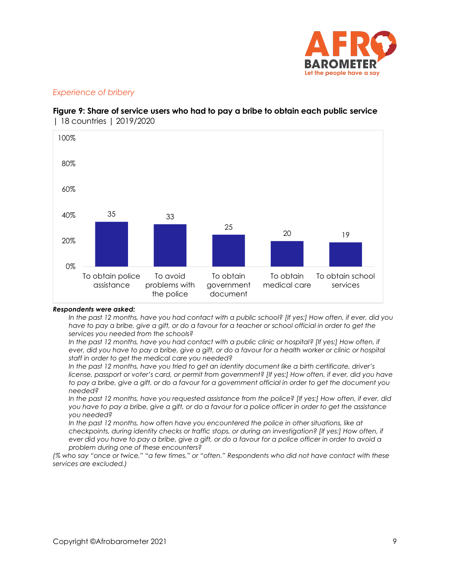

### *Experience of bribery*



#### <span id="page-8-0"></span>**Figure 9: Share of service users who had to pay a bribe to obtain each public service**  | 18 countries | 2019/2020

#### *Respondents were asked:*

*In the past 12 months, have you had contact with a public school? [If yes:] How often, if ever, did you have to pay a bribe, give a gift, or do a favour for a teacher or school official in order to get the services you needed from the schools?*

*In the past 12 months, have you had contact with a public clinic or hospital? [If yes:] How often, if ever, did you have to pay a bribe, give a gift, or do a favour for a health worker or clinic or hospital staff in order to get the medical care you needed?*

*In the past 12 months, have you tried to get an identity document like a birth certificate, driver's license, passport or voter's card, or permit from government? [If yes:] How often, if ever, did you have to pay a bribe, give a gift, or do a favour for a government official in order to get the document you needed?*

*In the past 12 months, have you requested assistance from the police? [If yes:] How often, if ever, did you have to pay a bribe, give a gift, or do a favour for a police officer in order to get the assistance you needed?* 

In the past 12 months, how often have you encountered the police in other situations, like at *checkpoints, during identity checks or traffic stops, or during an investigation? [If yes:] How often, if ever did you have to pay a bribe, give a gift, or do a favour for a police officer in order to avoid a problem during one of these encounters?*

*(% who say "once or twice," "a few times," or "often." Respondents who did not have contact with these services are excluded.)*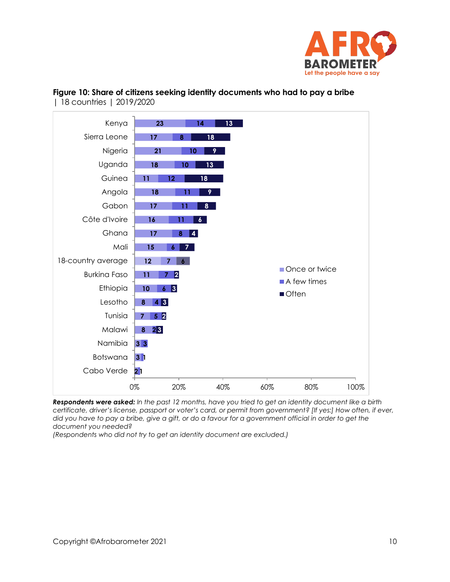



<span id="page-9-0"></span>**Figure 10: Share of citizens seeking identity documents who had to pay a bribe**  | 18 countries | 2019/2020

*Respondents were asked: In the past 12 months, have you tried to get an identity document like a birth certificate, driver's license, passport or voter's card, or permit from government? [If yes:] How often, if ever, did you have to pay a bribe, give a gift, or do a favour for a government official in order to get the document you needed?*

*(Respondents who did not try to get an identity document are excluded.)*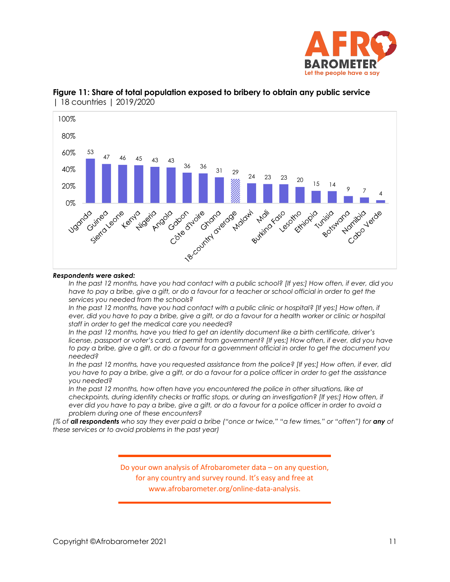



<span id="page-10-0"></span>

#### *Respondents were asked:*

*In the past 12 months, have you had contact with a public school? [If yes:] How often, if ever, did you*  have to pay a bribe, give a gift, or do a favour for a teacher or school official in order to get the *services you needed from the schools?*

*In the past 12 months, have you had contact with a public clinic or hospital? [If yes:] How often, if ever, did you have to pay a bribe, give a gift, or do a favour for a health worker or clinic or hospital staff in order to get the medical care you needed?*

*In the past 12 months, have you tried to get an identity document like a birth certificate, driver's license, passport or voter's card, or permit from government? [If yes:] How often, if ever, did you have to pay a bribe, give a gift, or do a favour for a government official in order to get the document you needed?*

*In the past 12 months, have you requested assistance from the police? [If yes:] How often, if ever, did you have to pay a bribe, give a gift, or do a favour for a police officer in order to get the assistance you needed?* 

In the past 12 months, how often have you encountered the police in other situations, like at *checkpoints, during identity checks or traffic stops, or during an investigation? [If yes:] How often, if ever did you have to pay a bribe, give a gift, or do a favour for a police officer in order to avoid a problem during one of these encounters?*

*(% of all respondents who say they ever paid a bribe ("once or twice," "a few times," or "often") for any of these services or to avoid problems in the past year)*

> Do your own analysis of Afrobarometer data – on any question, for any country and survey round. It's easy and free at www.afrobarometer.org/online-data-analysis.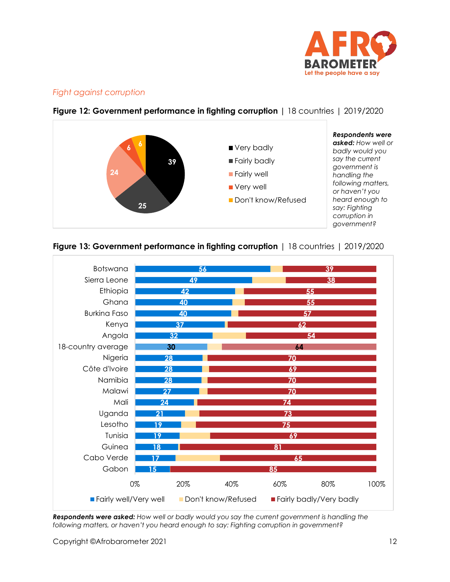

### *Fight against corruption*



### <span id="page-11-0"></span>**Figure 12: Government performance in fighting corruption |** 18 countries | 2019/2020

<span id="page-11-1"></span>



*Respondents were asked: How well or badly would you say the current government is handling the following matters, or haven't you heard enough to say: Fighting corruption in government?*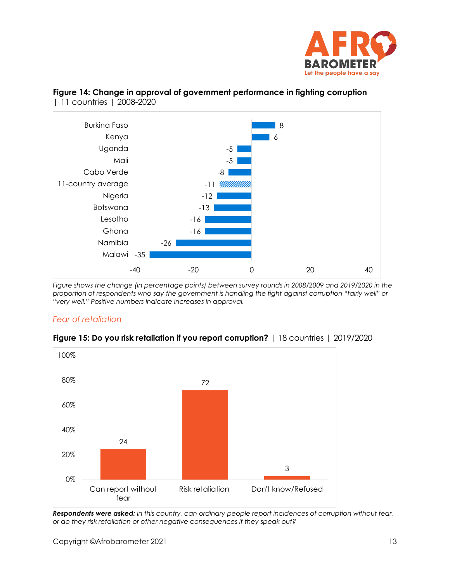



### <span id="page-12-0"></span>**Figure 14: Change in approval of government performance in fighting corruption**  | 11 countries | 2008-2020

*Figure shows the change (in percentage points) between survey rounds in 2008/2009 and 2019/2020 in the proportion of respondents who say the government is handling the fight against corruption "fairly well" or "very well." Positive numbers indicate increases in approval.*

### *Fear of retaliation*



### <span id="page-12-1"></span>**Figure 15: Do you risk retaliation if you report corruption?** | 18 countries | 2019/2020

*Respondents were asked: In this country, can ordinary people report incidences of corruption without fear, or do they risk retaliation or other negative consequences if they speak out?*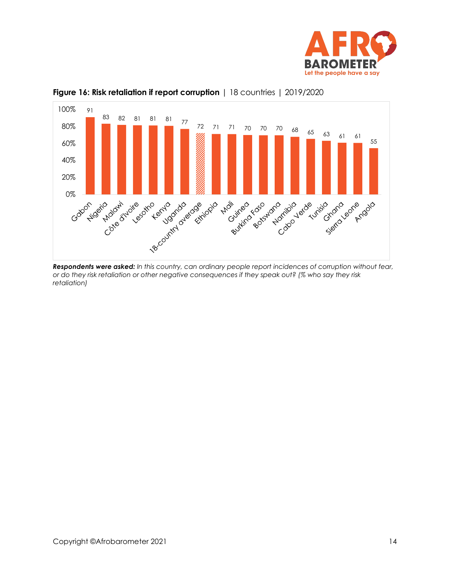



<span id="page-13-0"></span>

*Respondents were asked: In this country, can ordinary people report incidences of corruption without fear, or do they risk retaliation or other negative consequences if they speak out? (% who say they risk retaliation)*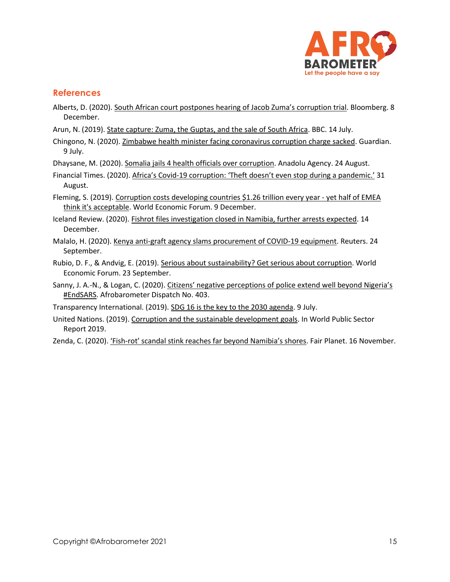

### **References**

- Alberts, D. (2020). [South African court postpones hearing of Jacob Zuma's corruption trial](https://www.bloomberg.com/news/articles/2020-12-08/south-african-court-postpones-hearing-of-zuma-corruption-trial). Bloomberg. 8 December.
- Arun, N. (2019)[. State capture: Zuma, the Guptas, and the sale of South Africa.](https://www.bbc.com/news/world-africa-48980964) BBC. 14 July.
- Chingono, N. (2020). [Zimbabwe health minister facing coronavirus corruption charge sacked.](https://www.theguardian.com/global-development/2020/jul/09/zimbabwe-health-minister-facing-coronavirus-corruption-charge-sacked) Guardian. 9 July.

Dhaysane, M. (2020). [Somalia jails 4 health officials over corruption.](https://www.aa.com.tr/en/africa/somalia-jails-4-health-officials-over-corruption/1951561) Anadolu Agency. 24 August.

- Financial Times. (2020). Africa's Covid-[19 corruption: 'Theft doesn't even stop during a pandemic.'](https://www.ft.com/content/617187c2-ab0b-4cf9-bdca-0aa246548745) 31 August.
- Fleming, S. (2019). [Corruption costs developing countries \\$1.26 trillion every year -](https://www.weforum.org/agenda/2019/12/corruption-global-problem-statistics-cost/) yet half of EMEA [think it's acceptable.](https://www.weforum.org/agenda/2019/12/corruption-global-problem-statistics-cost/) World Economic Forum. 9 December.
- Iceland Review. (2020)[. Fishrot files investigation closed in Namibia, further arrests expected.](file:///C:/Users/BrianHoward/Documents/Afrobarometer/Global%20releases/R8/First%20half%20(18%20countries)-sept20/Corruption-oct20/Fishrot%20Files%20Investigation%20Closed%20in%20Namibia,%20Further%20Arrests%20Expected) 14 December.
- Malalo, H. (2020)[. Kenya anti-graft agency slams procurement of COVID-19 equipment.](https://www.reuters.com/article/us-kenya-corruption/kenya-anti-graft-agency-slams-procurement-of-covid-19-equipment-idUSKCN26F3CC) Reuters. 24 September.
- Rubio, D. F., & Andvig, E. (2019). [Serious about sustainability? Get serious about corruption.](https://www.weforum.org/agenda/2019/09/serious-about-sustainability-get-serious-about-corruption/) World Economic Forum. 23 September.
- Sanny, J. A.-N., & Logan, C. (2020). Citizens' negative perceptions of police extend well beyond Nigeria's [#EndSARS.](https://afrobarometer.org/sites/default/files/publications/Dispatches/ad403-negative_perceptions_of_police_go_well_beyond_nigeria-afrobarometer_dispatch-v4-5nov20.pdf) Afrobarometer Dispatch No. 403.
- Transparency International. (2019)[. SDG 16 is the key to the 2030 agenda.](https://www.transparency.org/en/press/sdg-16-is-the-key-to-the-2030-agenda) 9 July.
- United Nations. (2019)[. Corruption and the sustainable development goals.](https://doi.org/10.18356/9b4bda79-en) In World Public Sector Report 2019.
- Zenda, C. (2020). 'Fish-[rot' scandal stink reaches far beyond Namibia's shores](https://www.fairplanet.org/story/%E2%80%98fish-rot%E2%80%99-scandal-stink-reaches-far-beyond-namibia%E2%80%99s-shores/). Fair Planet. 16 November.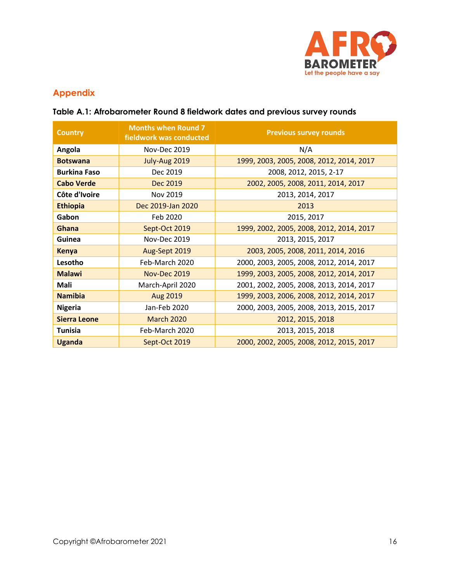

# **Appendix**

## **Table A.1: Afrobarometer Round 8 fieldwork dates and previous survey rounds**

| <b>Country</b>      | <b>Months when Round 7</b><br>fieldwork was conducted | <b>Previous survey rounds</b>            |
|---------------------|-------------------------------------------------------|------------------------------------------|
| Angola              | Nov-Dec 2019                                          | N/A                                      |
| <b>Botswana</b>     | July-Aug 2019                                         | 1999, 2003, 2005, 2008, 2012, 2014, 2017 |
| <b>Burkina Faso</b> | Dec 2019                                              | 2008, 2012, 2015, 2-17                   |
| <b>Cabo Verde</b>   | Dec 2019                                              | 2002, 2005, 2008, 2011, 2014, 2017       |
| Côte d'Ivoire       | Nov 2019                                              | 2013, 2014, 2017                         |
| <b>Ethiopia</b>     | Dec 2019-Jan 2020                                     | 2013                                     |
| Gabon               | Feb 2020                                              | 2015, 2017                               |
| Ghana               | Sept-Oct 2019                                         | 1999, 2002, 2005, 2008, 2012, 2014, 2017 |
| Guinea              | Nov-Dec 2019                                          | 2013, 2015, 2017                         |
| <b>Kenya</b>        | Aug-Sept 2019                                         | 2003, 2005, 2008, 2011, 2014, 2016       |
| Lesotho             | Feb-March 2020                                        | 2000, 2003, 2005, 2008, 2012, 2014, 2017 |
| <b>Malawi</b>       | <b>Nov-Dec 2019</b>                                   | 1999, 2003, 2005, 2008, 2012, 2014, 2017 |
| Mali                | March-April 2020                                      | 2001, 2002, 2005, 2008, 2013, 2014, 2017 |
| <b>Namibia</b>      | Aug 2019                                              | 1999, 2003, 2006, 2008, 2012, 2014, 2017 |
| <b>Nigeria</b>      | Jan-Feb 2020                                          | 2000, 2003, 2005, 2008, 2013, 2015, 2017 |
| <b>Sierra Leone</b> | <b>March 2020</b>                                     | 2012, 2015, 2018                         |
| <b>Tunisia</b>      | Feb-March 2020                                        | 2013, 2015, 2018                         |
| <b>Uganda</b>       | Sept-Oct 2019                                         | 2000, 2002, 2005, 2008, 2012, 2015, 2017 |